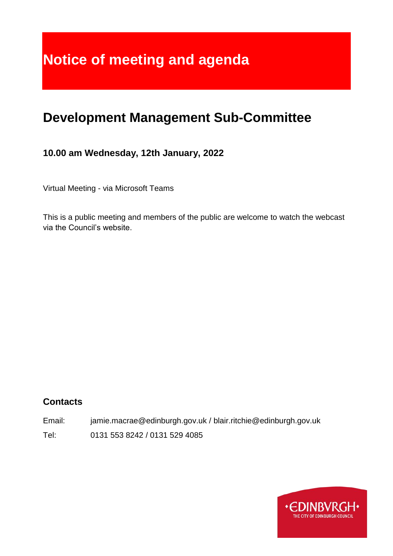# **Notice of meeting and agenda**

## **Development Management Sub-Committee**

#### **10.00 am Wednesday, 12th January, 2022**

Virtual Meeting - via Microsoft Teams

This is a public meeting and members of the public are welcome to watch the webcast via the Council's website.

#### **Contacts**

Email: jamie.macrae@edinburgh.gov.uk / blair.ritchie@edinburgh.gov.uk Tel: 0131 553 8242 / 0131 529 4085

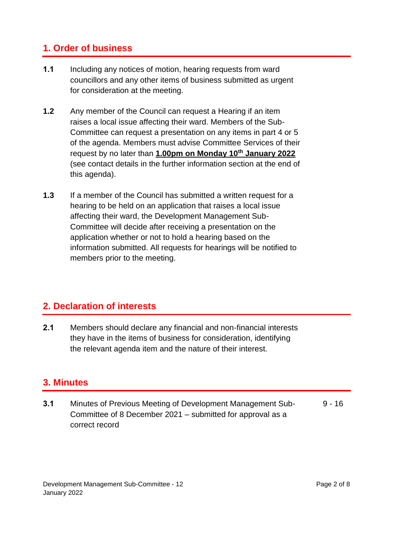#### **1. Order of business**

- **1.1** Including any notices of motion, hearing requests from ward councillors and any other items of business submitted as urgent for consideration at the meeting.
- **1.2** Any member of the Council can request a Hearing if an item raises a local issue affecting their ward. Members of the Sub-Committee can request a presentation on any items in part 4 or 5 of the agenda. Members must advise Committee Services of their request by no later than **1.00pm on Monday 10th January 2022** (see contact details in the further information section at the end of this agenda).
- **1.3** If a member of the Council has submitted a written request for a hearing to be held on an application that raises a local issue affecting their ward, the Development Management Sub-Committee will decide after receiving a presentation on the application whether or not to hold a hearing based on the information submitted. All requests for hearings will be notified to members prior to the meeting.

#### **2. Declaration of interests**

**2.1** Members should declare any financial and non-financial interests they have in the items of business for consideration, identifying the relevant agenda item and the nature of their interest.

#### **3. Minutes**

**3.1** Minutes of Previous Meeting of Development Management Sub-Committee of 8 December 2021 – submitted for approval as a correct record  $9 - 16$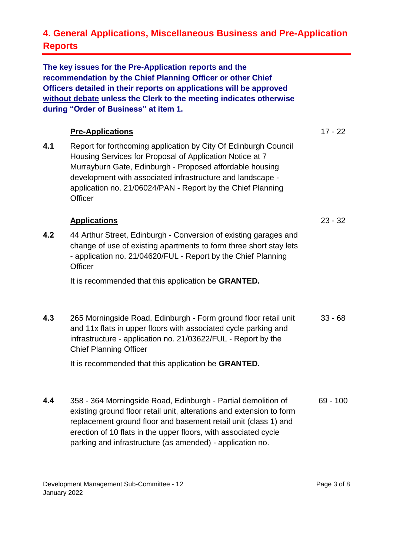### **4. General Applications, Miscellaneous Business and Pre-Application Reports**

**The key issues for the Pre-Application reports and the recommendation by the Chief Planning Officer or other Chief Officers detailed in their reports on applications will be approved without debate unless the Clerk to the meeting indicates otherwise during "Order of Business" at item 1.** 

#### **4.1 Pre-Applications** Report for forthcoming application by City Of Edinburgh Council Housing Services for Proposal of Application Notice at 7 Murrayburn Gate, Edinburgh - Proposed affordable housing development with associated infrastructure and landscape application no. 21/06024/PAN - Report by the Chief Planning **Officer** 17 - 22 **4.2 Applications** 44 Arthur Street, Edinburgh - Conversion of existing garages and change of use of existing apartments to form three short stay lets - application no. 21/04620/FUL - Report by the Chief Planning **Officer** 23 - 32

It is recommended that this application be **GRANTED.**

**4.3** 265 Morningside Road, Edinburgh - Form ground floor retail unit and 11x flats in upper floors with associated cycle parking and infrastructure - application no. 21/03622/FUL - Report by the Chief Planning Officer 33 - 68

It is recommended that this application be **GRANTED.**

**4.4** 358 - 364 Morningside Road, Edinburgh - Partial demolition of existing ground floor retail unit, alterations and extension to form replacement ground floor and basement retail unit (class 1) and erection of 10 flats in the upper floors, with associated cycle parking and infrastructure (as amended) - application no. 69 - 100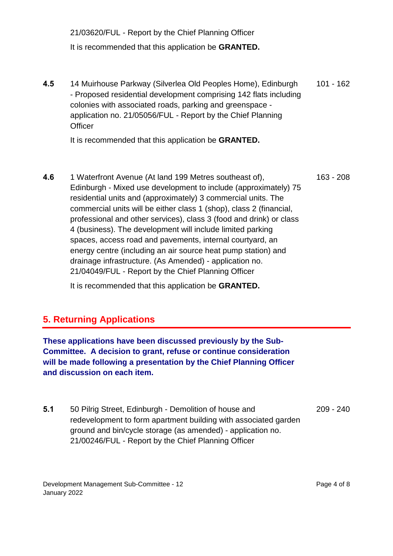21/03620/FUL - Report by the Chief Planning Officer It is recommended that this application be **GRANTED.**

**4.5** 14 Muirhouse Parkway (Silverlea Old Peoples Home), Edinburgh - Proposed residential development comprising 142 flats including colonies with associated roads, parking and greenspace application no. 21/05056/FUL - Report by the Chief Planning **Officer** 101 - 162

It is recommended that this application be **GRANTED.**

**4.6** 1 Waterfront Avenue (At land 199 Metres southeast of), Edinburgh - Mixed use development to include (approximately) 75 residential units and (approximately) 3 commercial units. The commercial units will be either class 1 (shop), class 2 (financial, professional and other services), class 3 (food and drink) or class 4 (business). The development will include limited parking spaces, access road and pavements, internal courtyard, an energy centre (including an air source heat pump station) and drainage infrastructure. (As Amended) - application no. 21/04049/FUL - Report by the Chief Planning Officer 163 - 208

It is recommended that this application be **GRANTED.**

#### **5. Returning Applications**

**These applications have been discussed previously by the Sub-Committee. A decision to grant, refuse or continue consideration will be made following a presentation by the Chief Planning Officer and discussion on each item.**

**5.1** 50 Pilrig Street, Edinburgh - Demolition of house and redevelopment to form apartment building with associated garden ground and bin/cycle storage (as amended) - application no. 21/00246/FUL - Report by the Chief Planning Officer 209 - 240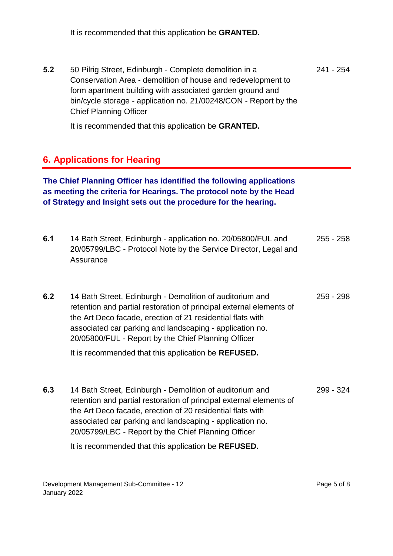It is recommended that this application be **GRANTED.**

**5.2** 50 Pilrig Street, Edinburgh - Complete demolition in a Conservation Area - demolition of house and redevelopment to form apartment building with associated garden ground and bin/cycle storage - application no. 21/00248/CON - Report by the Chief Planning Officer 241 - 254

It is recommended that this application be **GRANTED.**

#### **6. Applications for Hearing**

**The Chief Planning Officer has identified the following applications as meeting the criteria for Hearings. The protocol note by the Head of Strategy and Insight sets out the procedure for the hearing.**

- **6.1** 14 Bath Street, Edinburgh application no. 20/05800/FUL and 20/05799/LBC - Protocol Note by the Service Director, Legal and **Assurance** 255 - 258
- **6.2** 14 Bath Street, Edinburgh Demolition of auditorium and retention and partial restoration of principal external elements of the Art Deco facade, erection of 21 residential flats with associated car parking and landscaping - application no. 20/05800/FUL - Report by the Chief Planning Officer 259 - 298

It is recommended that this application be **REFUSED.**

**6.3** 14 Bath Street, Edinburgh - Demolition of auditorium and retention and partial restoration of principal external elements of the Art Deco facade, erection of 20 residential flats with associated car parking and landscaping - application no. 20/05799/LBC - Report by the Chief Planning Officer 299 - 324

It is recommended that this application be **REFUSED.**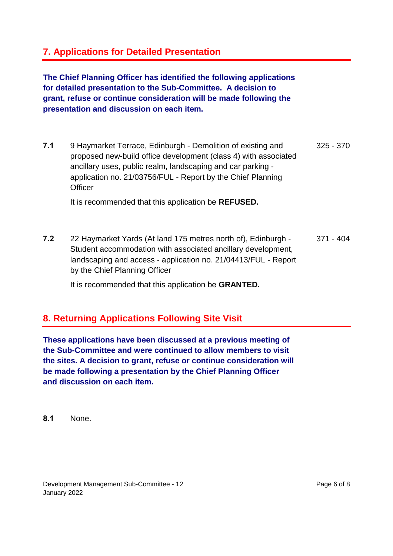#### **7. Applications for Detailed Presentation**

**The Chief Planning Officer has identified the following applications for detailed presentation to the Sub-Committee. A decision to grant, refuse or continue consideration will be made following the presentation and discussion on each item.**

**7.1** 9 Haymarket Terrace, Edinburgh - Demolition of existing and proposed new-build office development (class 4) with associated ancillary uses, public realm, landscaping and car parking application no. 21/03756/FUL - Report by the Chief Planning **Officer** 325 - 370

It is recommended that this application be **REFUSED.**

**7.2** 22 Haymarket Yards (At land 175 metres north of), Edinburgh - Student accommodation with associated ancillary development, landscaping and access - application no. 21/04413/FUL - Report by the Chief Planning Officer 371 - 404

It is recommended that this application be **GRANTED.**

#### **8. Returning Applications Following Site Visit**

**These applications have been discussed at a previous meeting of the Sub-Committee and were continued to allow members to visit the sites. A decision to grant, refuse or continue consideration will be made following a presentation by the Chief Planning Officer and discussion on each item.**

**8.1** None.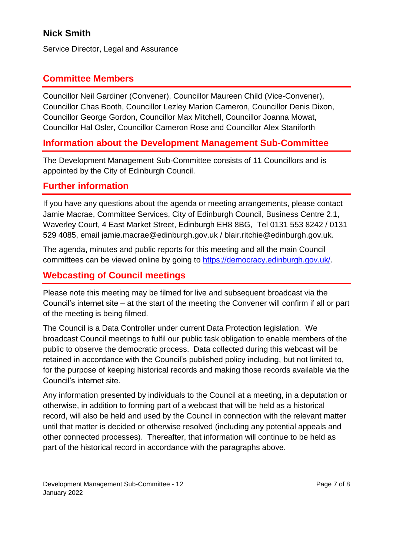### **Nick Smith**

Service Director, Legal and Assurance

#### **Committee Members**

Councillor Neil Gardiner (Convener), Councillor Maureen Child (Vice-Convener), Councillor Chas Booth, Councillor Lezley Marion Cameron, Councillor Denis Dixon, Councillor George Gordon, Councillor Max Mitchell, Councillor Joanna Mowat, Councillor Hal Osler, Councillor Cameron Rose and Councillor Alex Staniforth

#### **Information about the Development Management Sub-Committee**

The Development Management Sub-Committee consists of 11 Councillors and is appointed by the City of Edinburgh Council.

#### **Further information**

If you have any questions about the agenda or meeting arrangements, please contact Jamie Macrae, Committee Services, City of Edinburgh Council, Business Centre 2.1, Waverley Court, 4 East Market Street, Edinburgh EH8 8BG, Tel 0131 553 8242 / 0131 529 4085, email jamie.macrae@edinburgh.gov.uk / blair.ritchie@edinburgh.gov.uk.

The agenda, minutes and public reports for this meeting and all the main Council committees can be viewed online by going to [https://democracy.edinburgh.gov.uk/.](https://democracy.edinburgh.gov.uk/)

#### **Webcasting of Council meetings**

Please note this meeting may be filmed for live and subsequent broadcast via the Council's internet site – at the start of the meeting the Convener will confirm if all or part of the meeting is being filmed.

The Council is a Data Controller under current Data Protection legislation. We broadcast Council meetings to fulfil our public task obligation to enable members of the public to observe the democratic process. Data collected during this webcast will be retained in accordance with the Council's published policy including, but not limited to, for the purpose of keeping historical records and making those records available via the Council's internet site.

Any information presented by individuals to the Council at a meeting, in a deputation or otherwise, in addition to forming part of a webcast that will be held as a historical record, will also be held and used by the Council in connection with the relevant matter until that matter is decided or otherwise resolved (including any potential appeals and other connected processes). Thereafter, that information will continue to be held as part of the historical record in accordance with the paragraphs above.